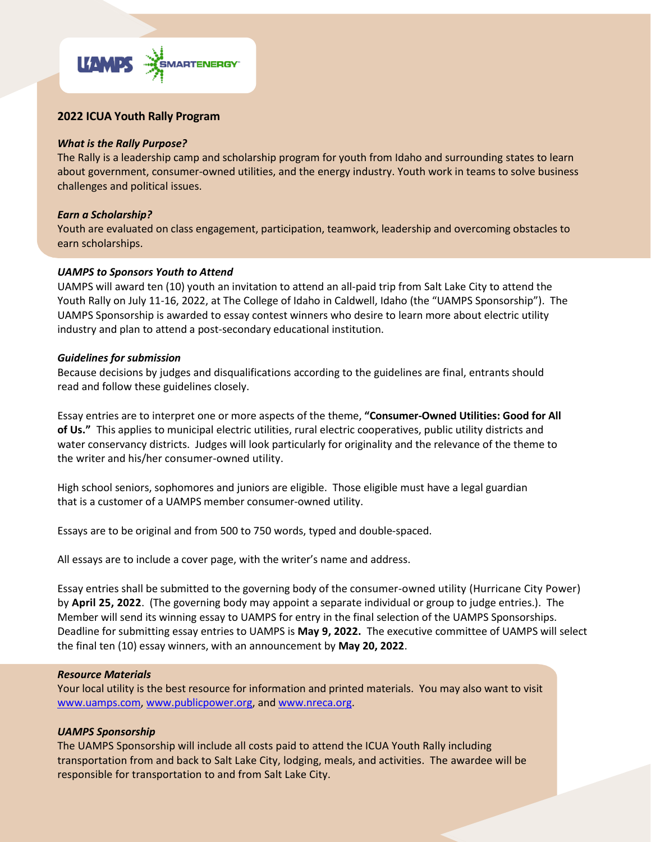

# **2022 ICUA Youth Rally Program**

# *What is the Rally Purpose?*

The Rally is a leadership camp and scholarship program for youth from Idaho and surrounding states to learn about government, consumer-owned utilities, and the energy industry. Youth work in teams to solve business challenges and political issues.

#### *Earn a Scholarship?*

Youth are evaluated on class engagement, participation, teamwork, leadership and overcoming obstacles to earn scholarships.

# *UAMPS to Sponsors Youth to Attend*

UAMPS will award ten (10) youth an invitation to attend an all-paid trip from Salt Lake City to attend the Youth Rally on July 11-16, 2022, at The College of Idaho in Caldwell, Idaho (the "UAMPS Sponsorship"). The UAMPS Sponsorship is awarded to essay contest winners who desire to learn more about electric utility industry and plan to attend a post-secondary educational institution.

#### *Guidelines for submission*

Because decisions by judges and disqualifications according to the guidelines are final, entrants should read and follow these guidelines closely.

Essay entries are to interpret one or more aspects of the theme, **"Consumer-Owned Utilities: Good for All of Us."** This applies to municipal electric utilities, rural electric cooperatives, public utility districts and water conservancy districts. Judges will look particularly for originality and the relevance of the theme to the writer and his/her consumer-owned utility.

High school seniors, sophomores and juniors are eligible. Those eligible must have a legal guardian that is a customer of a UAMPS member consumer-owned utility.

Essays are to be original and from 500 to 750 words, typed and double-spaced.

All essays are to include a cover page, with the writer's name and address.

Essay entries shall be submitted to the governing body of the consumer-owned utility (Hurricane City Power) by **April 25, 2022**. (The governing body may appoint a separate individual or group to judge entries.). The Member will send its winning essay to UAMPS for entry in the final selection of the UAMPS Sponsorships. Deadline for submitting essay entries to UAMPS is **May 9, 2022.** The executive committee of UAMPS will select the final ten (10) essay winners, with an announcement by **May 20, 2022**.

#### *Resource Materials*

Your local utility is the best resource for information and printed materials. You may also want to visit [www.uamps.com,](http://www.uamps.com/) [www.publicpower.org,](http://www.publicpower.org/) and [www.nreca.org.](http://www.nreca.org/)

# *UAMPS Sponsorship*

The UAMPS Sponsorship will include all costs paid to attend the ICUA Youth Rally including transportation from and back to Salt Lake City, lodging, meals, and activities. The awardee will be responsible for transportation to and from Salt Lake City.